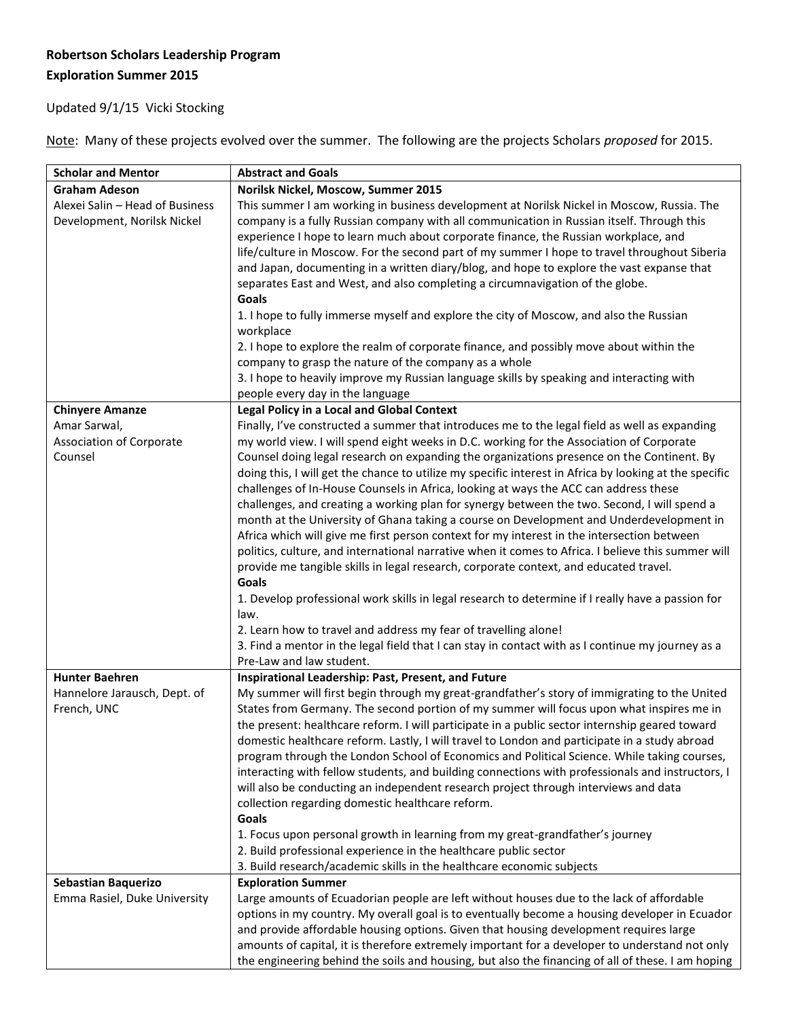## **Robertson Scholars Leadership Program Exploration Summer 2015**

## Updated 9/1/15 Vicki Stocking

Note: Many of these projects evolved over the summer. The following are the projects Scholars *proposed* for 2015.

| <b>Scholar and Mentor</b>       | <b>Abstract and Goals</b>                                                                                                                                                                      |
|---------------------------------|------------------------------------------------------------------------------------------------------------------------------------------------------------------------------------------------|
| <b>Graham Adeson</b>            | Norilsk Nickel, Moscow, Summer 2015                                                                                                                                                            |
| Alexei Salin - Head of Business | This summer I am working in business development at Norilsk Nickel in Moscow, Russia. The                                                                                                      |
| Development, Norilsk Nickel     | company is a fully Russian company with all communication in Russian itself. Through this                                                                                                      |
|                                 | experience I hope to learn much about corporate finance, the Russian workplace, and                                                                                                            |
|                                 | life/culture in Moscow. For the second part of my summer I hope to travel throughout Siberia                                                                                                   |
|                                 | and Japan, documenting in a written diary/blog, and hope to explore the vast expanse that                                                                                                      |
|                                 | separates East and West, and also completing a circumnavigation of the globe.                                                                                                                  |
|                                 | Goals                                                                                                                                                                                          |
|                                 | 1. I hope to fully immerse myself and explore the city of Moscow, and also the Russian                                                                                                         |
|                                 | workplace                                                                                                                                                                                      |
|                                 | 2. I hope to explore the realm of corporate finance, and possibly move about within the                                                                                                        |
|                                 | company to grasp the nature of the company as a whole                                                                                                                                          |
|                                 | 3. I hope to heavily improve my Russian language skills by speaking and interacting with                                                                                                       |
|                                 | people every day in the language                                                                                                                                                               |
| <b>Chinyere Amanze</b>          | <b>Legal Policy in a Local and Global Context</b>                                                                                                                                              |
| Amar Sarwal,                    | Finally, I've constructed a summer that introduces me to the legal field as well as expanding                                                                                                  |
| <b>Association of Corporate</b> | my world view. I will spend eight weeks in D.C. working for the Association of Corporate                                                                                                       |
| Counsel                         | Counsel doing legal research on expanding the organizations presence on the Continent. By                                                                                                      |
|                                 | doing this, I will get the chance to utilize my specific interest in Africa by looking at the specific<br>challenges of In-House Counsels in Africa, looking at ways the ACC can address these |
|                                 | challenges, and creating a working plan for synergy between the two. Second, I will spend a                                                                                                    |
|                                 | month at the University of Ghana taking a course on Development and Underdevelopment in                                                                                                        |
|                                 | Africa which will give me first person context for my interest in the intersection between                                                                                                     |
|                                 | politics, culture, and international narrative when it comes to Africa. I believe this summer will                                                                                             |
|                                 | provide me tangible skills in legal research, corporate context, and educated travel.                                                                                                          |
|                                 | <b>Goals</b>                                                                                                                                                                                   |
|                                 | 1. Develop professional work skills in legal research to determine if I really have a passion for                                                                                              |
|                                 | law.                                                                                                                                                                                           |
|                                 | 2. Learn how to travel and address my fear of travelling alone!                                                                                                                                |
|                                 | 3. Find a mentor in the legal field that I can stay in contact with as I continue my journey as a                                                                                              |
|                                 | Pre-Law and law student.                                                                                                                                                                       |
| <b>Hunter Baehren</b>           | Inspirational Leadership: Past, Present, and Future                                                                                                                                            |
| Hannelore Jarausch, Dept. of    | My summer will first begin through my great-grandfather's story of immigrating to the United                                                                                                   |
| French, UNC                     | States from Germany. The second portion of my summer will focus upon what inspires me in                                                                                                       |
|                                 | the present: healthcare reform. I will participate in a public sector internship geared toward                                                                                                 |
|                                 | domestic healthcare reform. Lastly, I will travel to London and participate in a study abroad                                                                                                  |
|                                 | program through the London School of Economics and Political Science. While taking courses,                                                                                                    |
|                                 | interacting with fellow students, and building connections with professionals and instructors, I                                                                                               |
|                                 | will also be conducting an independent research project through interviews and data                                                                                                            |
|                                 | collection regarding domestic healthcare reform.                                                                                                                                               |
|                                 | Goals                                                                                                                                                                                          |
|                                 | 1. Focus upon personal growth in learning from my great-grandfather's journey                                                                                                                  |
|                                 | 2. Build professional experience in the healthcare public sector                                                                                                                               |
|                                 | 3. Build research/academic skills in the healthcare economic subjects                                                                                                                          |
| <b>Sebastian Baquerizo</b>      | <b>Exploration Summer</b>                                                                                                                                                                      |
| Emma Rasiel, Duke University    | Large amounts of Ecuadorian people are left without houses due to the lack of affordable                                                                                                       |
|                                 | options in my country. My overall goal is to eventually become a housing developer in Ecuador                                                                                                  |
|                                 | and provide affordable housing options. Given that housing development requires large<br>amounts of capital, it is therefore extremely important for a developer to understand not only        |
|                                 | the engineering behind the soils and housing, but also the financing of all of these. I am hoping                                                                                              |
|                                 |                                                                                                                                                                                                |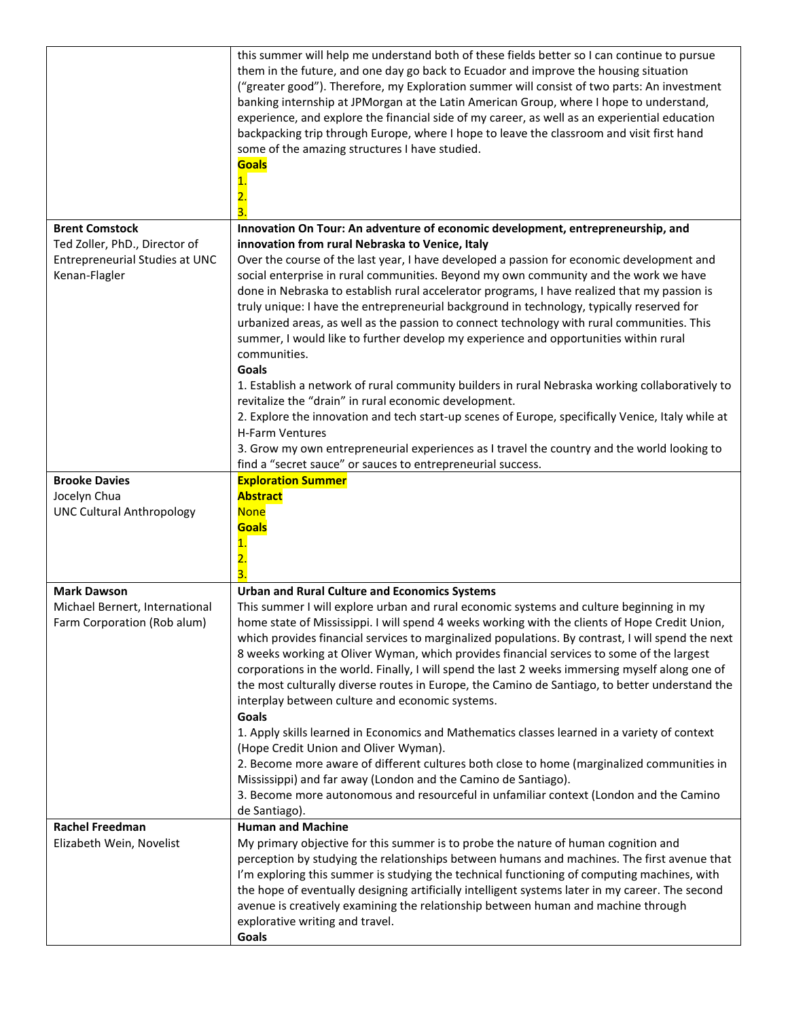|                                                                                  | this summer will help me understand both of these fields better so I can continue to pursue<br>them in the future, and one day go back to Ecuador and improve the housing situation<br>("greater good"). Therefore, my Exploration summer will consist of two parts: An investment<br>banking internship at JPMorgan at the Latin American Group, where I hope to understand,<br>experience, and explore the financial side of my career, as well as an experiential education<br>backpacking trip through Europe, where I hope to leave the classroom and visit first hand<br>some of the amazing structures I have studied.<br><b>Goals</b>                                                                                                                |
|----------------------------------------------------------------------------------|--------------------------------------------------------------------------------------------------------------------------------------------------------------------------------------------------------------------------------------------------------------------------------------------------------------------------------------------------------------------------------------------------------------------------------------------------------------------------------------------------------------------------------------------------------------------------------------------------------------------------------------------------------------------------------------------------------------------------------------------------------------|
| <b>Brent Comstock</b>                                                            | Innovation On Tour: An adventure of economic development, entrepreneurship, and                                                                                                                                                                                                                                                                                                                                                                                                                                                                                                                                                                                                                                                                              |
| Ted Zoller, PhD., Director of<br>Entrepreneurial Studies at UNC<br>Kenan-Flagler | innovation from rural Nebraska to Venice, Italy<br>Over the course of the last year, I have developed a passion for economic development and<br>social enterprise in rural communities. Beyond my own community and the work we have<br>done in Nebraska to establish rural accelerator programs, I have realized that my passion is<br>truly unique: I have the entrepreneurial background in technology, typically reserved for<br>urbanized areas, as well as the passion to connect technology with rural communities. This<br>summer, I would like to further develop my experience and opportunities within rural<br>communities.                                                                                                                      |
|                                                                                  | Goals<br>1. Establish a network of rural community builders in rural Nebraska working collaboratively to<br>revitalize the "drain" in rural economic development.<br>2. Explore the innovation and tech start-up scenes of Europe, specifically Venice, Italy while at<br>H-Farm Ventures<br>3. Grow my own entrepreneurial experiences as I travel the country and the world looking to<br>find a "secret sauce" or sauces to entrepreneurial success.                                                                                                                                                                                                                                                                                                      |
| <b>Brooke Davies</b>                                                             | <b>Exploration Summer</b>                                                                                                                                                                                                                                                                                                                                                                                                                                                                                                                                                                                                                                                                                                                                    |
| Jocelyn Chua<br><b>UNC Cultural Anthropology</b>                                 | <b>Abstract</b><br><b>None</b><br><b>Goals</b>                                                                                                                                                                                                                                                                                                                                                                                                                                                                                                                                                                                                                                                                                                               |
| <b>Mark Dawson</b>                                                               | <b>Urban and Rural Culture and Economics Systems</b>                                                                                                                                                                                                                                                                                                                                                                                                                                                                                                                                                                                                                                                                                                         |
| Michael Bernert, International<br>Farm Corporation (Rob alum)                    | This summer I will explore urban and rural economic systems and culture beginning in my<br>home state of Mississippi. I will spend 4 weeks working with the clients of Hope Credit Union,<br>which provides financial services to marginalized populations. By contrast, I will spend the next<br>8 weeks working at Oliver Wyman, which provides financial services to some of the largest<br>corporations in the world. Finally, I will spend the last 2 weeks immersing myself along one of<br>the most culturally diverse routes in Europe, the Camino de Santiago, to better understand the<br>interplay between culture and economic systems.<br>Goals<br>1. Apply skills learned in Economics and Mathematics classes learned in a variety of context |
|                                                                                  | (Hope Credit Union and Oliver Wyman).<br>2. Become more aware of different cultures both close to home (marginalized communities in<br>Mississippi) and far away (London and the Camino de Santiago).<br>3. Become more autonomous and resourceful in unfamiliar context (London and the Camino                                                                                                                                                                                                                                                                                                                                                                                                                                                              |
|                                                                                  | de Santiago).                                                                                                                                                                                                                                                                                                                                                                                                                                                                                                                                                                                                                                                                                                                                                |
| <b>Rachel Freedman</b>                                                           | <b>Human and Machine</b>                                                                                                                                                                                                                                                                                                                                                                                                                                                                                                                                                                                                                                                                                                                                     |
| Elizabeth Wein, Novelist                                                         | My primary objective for this summer is to probe the nature of human cognition and<br>perception by studying the relationships between humans and machines. The first avenue that<br>I'm exploring this summer is studying the technical functioning of computing machines, with<br>the hope of eventually designing artificially intelligent systems later in my career. The second<br>avenue is creatively examining the relationship between human and machine through<br>explorative writing and travel.<br>Goals                                                                                                                                                                                                                                        |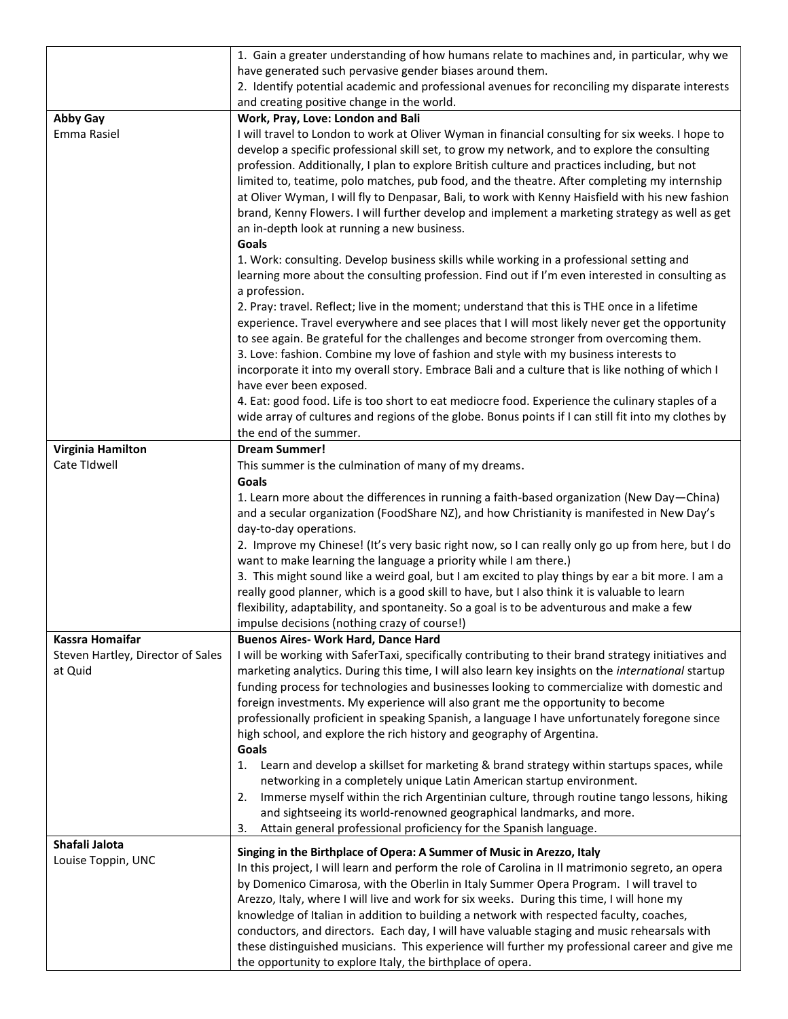|                                              | 1. Gain a greater understanding of how humans relate to machines and, in particular, why we                                                                                                                                                                                                                                                                                                                                                                                                                                                                                                                                                                                                                                  |
|----------------------------------------------|------------------------------------------------------------------------------------------------------------------------------------------------------------------------------------------------------------------------------------------------------------------------------------------------------------------------------------------------------------------------------------------------------------------------------------------------------------------------------------------------------------------------------------------------------------------------------------------------------------------------------------------------------------------------------------------------------------------------------|
|                                              | have generated such pervasive gender biases around them.                                                                                                                                                                                                                                                                                                                                                                                                                                                                                                                                                                                                                                                                     |
|                                              | 2. Identify potential academic and professional avenues for reconciling my disparate interests                                                                                                                                                                                                                                                                                                                                                                                                                                                                                                                                                                                                                               |
|                                              | and creating positive change in the world.                                                                                                                                                                                                                                                                                                                                                                                                                                                                                                                                                                                                                                                                                   |
| <b>Abby Gay</b><br>Emma Rasiel               | Work, Pray, Love: London and Bali<br>I will travel to London to work at Oliver Wyman in financial consulting for six weeks. I hope to                                                                                                                                                                                                                                                                                                                                                                                                                                                                                                                                                                                        |
|                                              | develop a specific professional skill set, to grow my network, and to explore the consulting<br>profession. Additionally, I plan to explore British culture and practices including, but not<br>limited to, teatime, polo matches, pub food, and the theatre. After completing my internship<br>at Oliver Wyman, I will fly to Denpasar, Bali, to work with Kenny Haisfield with his new fashion<br>brand, Kenny Flowers. I will further develop and implement a marketing strategy as well as get<br>an in-depth look at running a new business.                                                                                                                                                                            |
|                                              | Goals                                                                                                                                                                                                                                                                                                                                                                                                                                                                                                                                                                                                                                                                                                                        |
|                                              | 1. Work: consulting. Develop business skills while working in a professional setting and<br>learning more about the consulting profession. Find out if I'm even interested in consulting as<br>a profession.                                                                                                                                                                                                                                                                                                                                                                                                                                                                                                                 |
|                                              | 2. Pray: travel. Reflect; live in the moment; understand that this is THE once in a lifetime<br>experience. Travel everywhere and see places that I will most likely never get the opportunity<br>to see again. Be grateful for the challenges and become stronger from overcoming them.<br>3. Love: fashion. Combine my love of fashion and style with my business interests to<br>incorporate it into my overall story. Embrace Bali and a culture that is like nothing of which I<br>have ever been exposed.<br>4. Eat: good food. Life is too short to eat mediocre food. Experience the culinary staples of a                                                                                                           |
|                                              | wide array of cultures and regions of the globe. Bonus points if I can still fit into my clothes by<br>the end of the summer.                                                                                                                                                                                                                                                                                                                                                                                                                                                                                                                                                                                                |
| Virginia Hamilton                            | <b>Dream Summer!</b>                                                                                                                                                                                                                                                                                                                                                                                                                                                                                                                                                                                                                                                                                                         |
| Cate TIdwell                                 | This summer is the culmination of many of my dreams.                                                                                                                                                                                                                                                                                                                                                                                                                                                                                                                                                                                                                                                                         |
|                                              | Goals                                                                                                                                                                                                                                                                                                                                                                                                                                                                                                                                                                                                                                                                                                                        |
|                                              | 1. Learn more about the differences in running a faith-based organization (New Day-China)<br>and a secular organization (FoodShare NZ), and how Christianity is manifested in New Day's<br>day-to-day operations.                                                                                                                                                                                                                                                                                                                                                                                                                                                                                                            |
|                                              | 2. Improve my Chinese! (It's very basic right now, so I can really only go up from here, but I do                                                                                                                                                                                                                                                                                                                                                                                                                                                                                                                                                                                                                            |
|                                              | want to make learning the language a priority while I am there.)                                                                                                                                                                                                                                                                                                                                                                                                                                                                                                                                                                                                                                                             |
|                                              | 3. This might sound like a weird goal, but I am excited to play things by ear a bit more. I am a<br>really good planner, which is a good skill to have, but I also think it is valuable to learn<br>flexibility, adaptability, and spontaneity. So a goal is to be adventurous and make a few<br>impulse decisions (nothing crazy of course!)                                                                                                                                                                                                                                                                                                                                                                                |
| <b>Kassra Homaifar</b>                       | <b>Buenos Aires- Work Hard, Dance Hard</b>                                                                                                                                                                                                                                                                                                                                                                                                                                                                                                                                                                                                                                                                                   |
| Steven Hartley, Director of Sales<br>at Quid | I will be working with SaferTaxi, specifically contributing to their brand strategy initiatives and<br>marketing analytics. During this time, I will also learn key insights on the international startup<br>funding process for technologies and businesses looking to commercialize with domestic and<br>foreign investments. My experience will also grant me the opportunity to become<br>professionally proficient in speaking Spanish, a language I have unfortunately foregone since<br>high school, and explore the rich history and geography of Argentina.<br>Goals                                                                                                                                                |
|                                              | Learn and develop a skillset for marketing & brand strategy within startups spaces, while<br>1.<br>networking in a completely unique Latin American startup environment.<br>Immerse myself within the rich Argentinian culture, through routine tango lessons, hiking<br>2.<br>and sightseeing its world-renowned geographical landmarks, and more.<br>Attain general professional proficiency for the Spanish language.<br>3.                                                                                                                                                                                                                                                                                               |
| Shafali Jalota                               |                                                                                                                                                                                                                                                                                                                                                                                                                                                                                                                                                                                                                                                                                                                              |
| Louise Toppin, UNC                           | Singing in the Birthplace of Opera: A Summer of Music in Arezzo, Italy<br>In this project, I will learn and perform the role of Carolina in Il matrimonio segreto, an opera<br>by Domenico Cimarosa, with the Oberlin in Italy Summer Opera Program. I will travel to<br>Arezzo, Italy, where I will live and work for six weeks. During this time, I will hone my<br>knowledge of Italian in addition to building a network with respected faculty, coaches,<br>conductors, and directors. Each day, I will have valuable staging and music rehearsals with<br>these distinguished musicians. This experience will further my professional career and give me<br>the opportunity to explore Italy, the birthplace of opera. |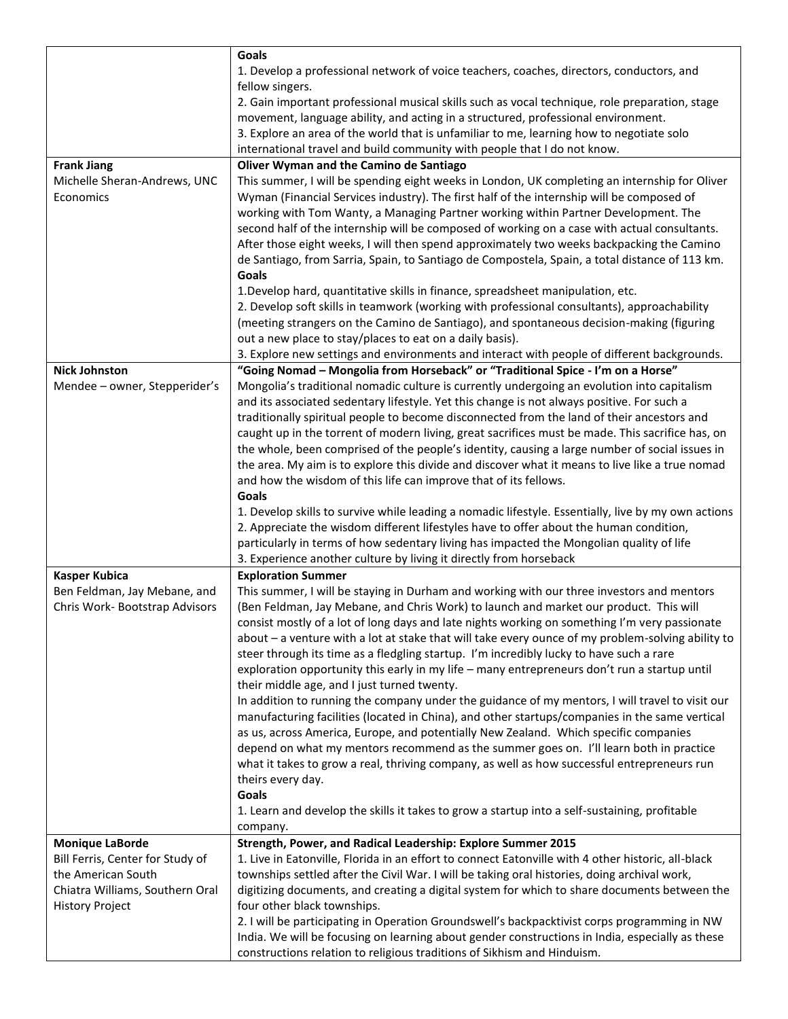|                                  | Goals                                                                                                                                                                                             |
|----------------------------------|---------------------------------------------------------------------------------------------------------------------------------------------------------------------------------------------------|
|                                  | 1. Develop a professional network of voice teachers, coaches, directors, conductors, and<br>fellow singers.                                                                                       |
|                                  | 2. Gain important professional musical skills such as vocal technique, role preparation, stage                                                                                                    |
|                                  | movement, language ability, and acting in a structured, professional environment.                                                                                                                 |
|                                  | 3. Explore an area of the world that is unfamiliar to me, learning how to negotiate solo                                                                                                          |
|                                  | international travel and build community with people that I do not know.                                                                                                                          |
| <b>Frank Jiang</b>               | Oliver Wyman and the Camino de Santiago                                                                                                                                                           |
| Michelle Sheran-Andrews, UNC     | This summer, I will be spending eight weeks in London, UK completing an internship for Oliver                                                                                                     |
| Economics                        | Wyman (Financial Services industry). The first half of the internship will be composed of                                                                                                         |
|                                  | working with Tom Wanty, a Managing Partner working within Partner Development. The                                                                                                                |
|                                  | second half of the internship will be composed of working on a case with actual consultants.                                                                                                      |
|                                  | After those eight weeks, I will then spend approximately two weeks backpacking the Camino                                                                                                         |
|                                  | de Santiago, from Sarria, Spain, to Santiago de Compostela, Spain, a total distance of 113 km.<br>Goals                                                                                           |
|                                  | 1. Develop hard, quantitative skills in finance, spreadsheet manipulation, etc.                                                                                                                   |
|                                  | 2. Develop soft skills in teamwork (working with professional consultants), approachability                                                                                                       |
|                                  | (meeting strangers on the Camino de Santiago), and spontaneous decision-making (figuring                                                                                                          |
|                                  | out a new place to stay/places to eat on a daily basis).                                                                                                                                          |
|                                  | 3. Explore new settings and environments and interact with people of different backgrounds.                                                                                                       |
| <b>Nick Johnston</b>             | "Going Nomad - Mongolia from Horseback" or "Traditional Spice - I'm on a Horse"                                                                                                                   |
| Mendee - owner, Stepperider's    | Mongolia's traditional nomadic culture is currently undergoing an evolution into capitalism                                                                                                       |
|                                  | and its associated sedentary lifestyle. Yet this change is not always positive. For such a                                                                                                        |
|                                  | traditionally spiritual people to become disconnected from the land of their ancestors and                                                                                                        |
|                                  | caught up in the torrent of modern living, great sacrifices must be made. This sacrifice has, on                                                                                                  |
|                                  | the whole, been comprised of the people's identity, causing a large number of social issues in                                                                                                    |
|                                  | the area. My aim is to explore this divide and discover what it means to live like a true nomad                                                                                                   |
|                                  | and how the wisdom of this life can improve that of its fellows.                                                                                                                                  |
|                                  | Goals                                                                                                                                                                                             |
|                                  | 1. Develop skills to survive while leading a nomadic lifestyle. Essentially, live by my own actions                                                                                               |
|                                  | 2. Appreciate the wisdom different lifestyles have to offer about the human condition,                                                                                                            |
|                                  | particularly in terms of how sedentary living has impacted the Mongolian quality of life                                                                                                          |
|                                  | 3. Experience another culture by living it directly from horseback                                                                                                                                |
| <b>Kasper Kubica</b>             | <b>Exploration Summer</b>                                                                                                                                                                         |
| Ben Feldman, Jay Mebane, and     | This summer, I will be staying in Durham and working with our three investors and mentors                                                                                                         |
| Chris Work- Bootstrap Advisors   | (Ben Feldman, Jay Mebane, and Chris Work) to launch and market our product. This will                                                                                                             |
|                                  | consist mostly of a lot of long days and late nights working on something I'm very passionate                                                                                                     |
|                                  | about - a venture with a lot at stake that will take every ounce of my problem-solving ability to                                                                                                 |
|                                  | steer through its time as a fledgling startup. I'm incredibly lucky to have such a rare                                                                                                           |
|                                  | exploration opportunity this early in my life - many entrepreneurs don't run a startup until                                                                                                      |
|                                  | their middle age, and I just turned twenty.                                                                                                                                                       |
|                                  | In addition to running the company under the guidance of my mentors, I will travel to visit our<br>manufacturing facilities (located in China), and other startups/companies in the same vertical |
|                                  | as us, across America, Europe, and potentially New Zealand. Which specific companies                                                                                                              |
|                                  | depend on what my mentors recommend as the summer goes on. I'll learn both in practice                                                                                                            |
|                                  | what it takes to grow a real, thriving company, as well as how successful entrepreneurs run                                                                                                       |
|                                  | theirs every day.                                                                                                                                                                                 |
|                                  | Goals                                                                                                                                                                                             |
|                                  | 1. Learn and develop the skills it takes to grow a startup into a self-sustaining, profitable                                                                                                     |
|                                  | company.                                                                                                                                                                                          |
| <b>Monique LaBorde</b>           | Strength, Power, and Radical Leadership: Explore Summer 2015                                                                                                                                      |
| Bill Ferris, Center for Study of | 1. Live in Eatonville, Florida in an effort to connect Eatonville with 4 other historic, all-black                                                                                                |
| the American South               | townships settled after the Civil War. I will be taking oral histories, doing archival work,                                                                                                      |
| Chiatra Williams, Southern Oral  | digitizing documents, and creating a digital system for which to share documents between the                                                                                                      |
| <b>History Project</b>           | four other black townships.                                                                                                                                                                       |
|                                  | 2. I will be participating in Operation Groundswell's backpacktivist corps programming in NW                                                                                                      |
|                                  | India. We will be focusing on learning about gender constructions in India, especially as these                                                                                                   |
|                                  | constructions relation to religious traditions of Sikhism and Hinduism.                                                                                                                           |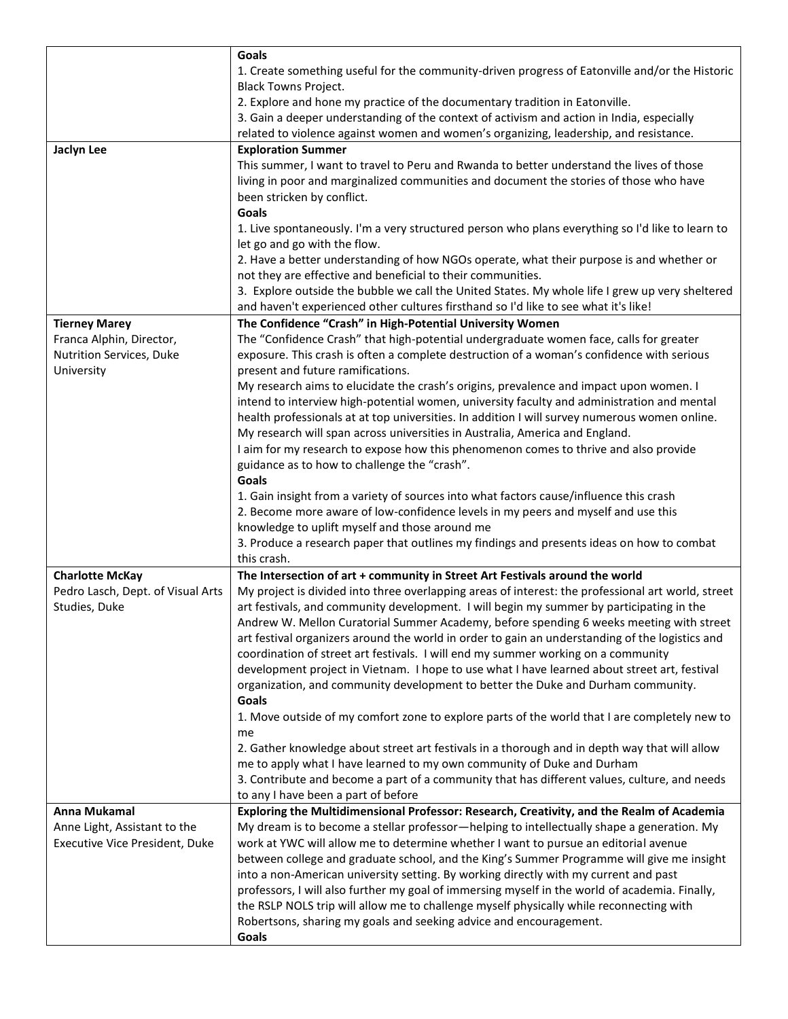|                                   | Goals                                                                                                                         |
|-----------------------------------|-------------------------------------------------------------------------------------------------------------------------------|
|                                   | 1. Create something useful for the community-driven progress of Eatonville and/or the Historic<br><b>Black Towns Project.</b> |
|                                   | 2. Explore and hone my practice of the documentary tradition in Eatonville.                                                   |
|                                   | 3. Gain a deeper understanding of the context of activism and action in India, especially                                     |
|                                   | related to violence against women and women's organizing, leadership, and resistance.                                         |
| Jaclyn Lee                        | <b>Exploration Summer</b>                                                                                                     |
|                                   | This summer, I want to travel to Peru and Rwanda to better understand the lives of those                                      |
|                                   | living in poor and marginalized communities and document the stories of those who have                                        |
|                                   | been stricken by conflict.                                                                                                    |
|                                   | Goals                                                                                                                         |
|                                   | 1. Live spontaneously. I'm a very structured person who plans everything so I'd like to learn to                              |
|                                   | let go and go with the flow.                                                                                                  |
|                                   | 2. Have a better understanding of how NGOs operate, what their purpose is and whether or                                      |
|                                   | not they are effective and beneficial to their communities.                                                                   |
|                                   | 3. Explore outside the bubble we call the United States. My whole life I grew up very sheltered                               |
|                                   | and haven't experienced other cultures firsthand so I'd like to see what it's like!                                           |
| <b>Tierney Marey</b>              | The Confidence "Crash" in High-Potential University Women                                                                     |
| Franca Alphin, Director,          | The "Confidence Crash" that high-potential undergraduate women face, calls for greater                                        |
| Nutrition Services, Duke          | exposure. This crash is often a complete destruction of a woman's confidence with serious                                     |
| University                        | present and future ramifications.                                                                                             |
|                                   | My research aims to elucidate the crash's origins, prevalence and impact upon women. I                                        |
|                                   | intend to interview high-potential women, university faculty and administration and mental                                    |
|                                   | health professionals at at top universities. In addition I will survey numerous women online.                                 |
|                                   | My research will span across universities in Australia, America and England.                                                  |
|                                   | I aim for my research to expose how this phenomenon comes to thrive and also provide                                          |
|                                   | guidance as to how to challenge the "crash".                                                                                  |
|                                   | Goals                                                                                                                         |
|                                   | 1. Gain insight from a variety of sources into what factors cause/influence this crash                                        |
|                                   | 2. Become more aware of low-confidence levels in my peers and myself and use this                                             |
|                                   | knowledge to uplift myself and those around me                                                                                |
|                                   | 3. Produce a research paper that outlines my findings and presents ideas on how to combat                                     |
|                                   | this crash.                                                                                                                   |
| <b>Charlotte McKay</b>            | The Intersection of art + community in Street Art Festivals around the world                                                  |
| Pedro Lasch, Dept. of Visual Arts | My project is divided into three overlapping areas of interest: the professional art world, street                            |
| Studies, Duke                     | art festivals, and community development. I will begin my summer by participating in the                                      |
|                                   | Andrew W. Mellon Curatorial Summer Academy, before spending 6 weeks meeting with street                                       |
|                                   | art festival organizers around the world in order to gain an understanding of the logistics and                               |
|                                   | coordination of street art festivals. I will end my summer working on a community                                             |
|                                   | development project in Vietnam. I hope to use what I have learned about street art, festival                                  |
|                                   | organization, and community development to better the Duke and Durham community.                                              |
|                                   | Goals                                                                                                                         |
|                                   | 1. Move outside of my comfort zone to explore parts of the world that I are completely new to                                 |
|                                   | me                                                                                                                            |
|                                   | 2. Gather knowledge about street art festivals in a thorough and in depth way that will allow                                 |
|                                   | me to apply what I have learned to my own community of Duke and Durham                                                        |
|                                   | 3. Contribute and become a part of a community that has different values, culture, and needs                                  |
|                                   | to any I have been a part of before                                                                                           |
| Anna Mukamal                      | Exploring the Multidimensional Professor: Research, Creativity, and the Realm of Academia                                     |
| Anne Light, Assistant to the      | My dream is to become a stellar professor—helping to intellectually shape a generation. My                                    |
| Executive Vice President, Duke    | work at YWC will allow me to determine whether I want to pursue an editorial avenue                                           |
|                                   | between college and graduate school, and the King's Summer Programme will give me insight                                     |
|                                   | into a non-American university setting. By working directly with my current and past                                          |
|                                   | professors, I will also further my goal of immersing myself in the world of academia. Finally,                                |
|                                   | the RSLP NOLS trip will allow me to challenge myself physically while reconnecting with                                       |
|                                   | Robertsons, sharing my goals and seeking advice and encouragement.                                                            |
|                                   | Goals                                                                                                                         |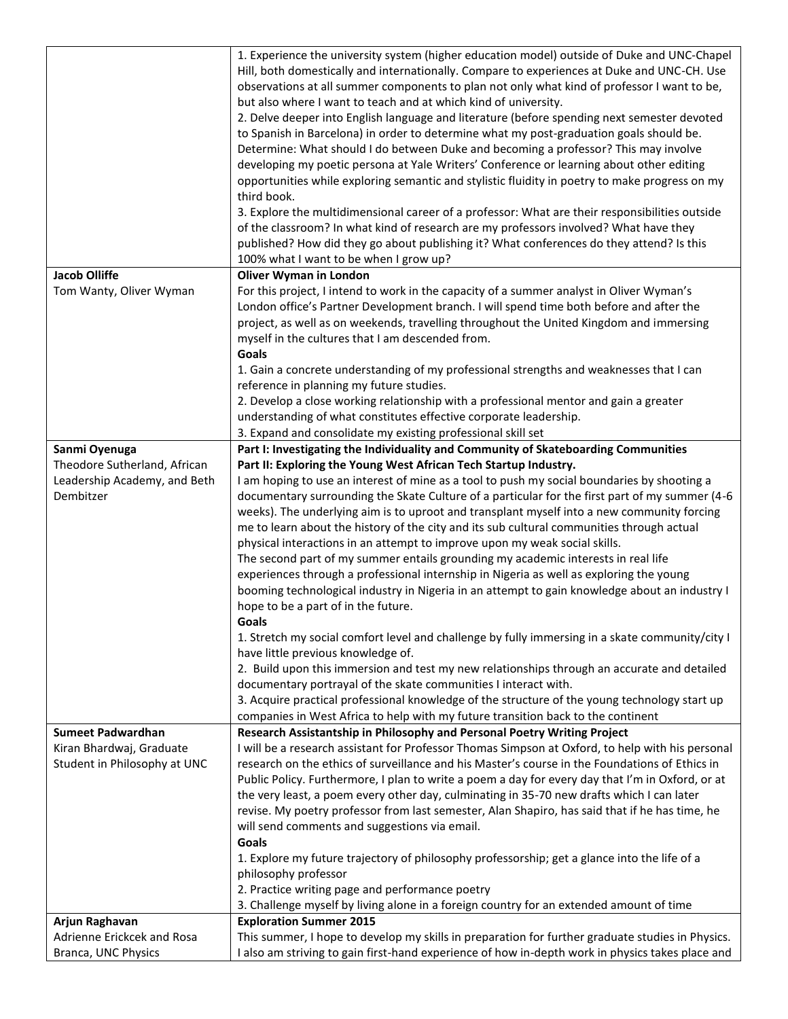|                              | 1. Experience the university system (higher education model) outside of Duke and UNC-Chapel      |
|------------------------------|--------------------------------------------------------------------------------------------------|
|                              | Hill, both domestically and internationally. Compare to experiences at Duke and UNC-CH. Use      |
|                              | observations at all summer components to plan not only what kind of professor I want to be,      |
|                              | but also where I want to teach and at which kind of university.                                  |
|                              | 2. Delve deeper into English language and literature (before spending next semester devoted      |
|                              | to Spanish in Barcelona) in order to determine what my post-graduation goals should be.          |
|                              | Determine: What should I do between Duke and becoming a professor? This may involve              |
|                              | developing my poetic persona at Yale Writers' Conference or learning about other editing         |
|                              | opportunities while exploring semantic and stylistic fluidity in poetry to make progress on my   |
|                              | third book.                                                                                      |
|                              |                                                                                                  |
|                              | 3. Explore the multidimensional career of a professor: What are their responsibilities outside   |
|                              | of the classroom? In what kind of research are my professors involved? What have they            |
|                              | published? How did they go about publishing it? What conferences do they attend? Is this         |
|                              | 100% what I want to be when I grow up?                                                           |
| <b>Jacob Olliffe</b>         | <b>Oliver Wyman in London</b>                                                                    |
| Tom Wanty, Oliver Wyman      | For this project, I intend to work in the capacity of a summer analyst in Oliver Wyman's         |
|                              | London office's Partner Development branch. I will spend time both before and after the          |
|                              | project, as well as on weekends, travelling throughout the United Kingdom and immersing          |
|                              | myself in the cultures that I am descended from.                                                 |
|                              | Goals                                                                                            |
|                              | 1. Gain a concrete understanding of my professional strengths and weaknesses that I can          |
|                              | reference in planning my future studies.                                                         |
|                              | 2. Develop a close working relationship with a professional mentor and gain a greater            |
|                              | understanding of what constitutes effective corporate leadership.                                |
|                              | 3. Expand and consolidate my existing professional skill set                                     |
| Sanmi Oyenuga                | Part I: Investigating the Individuality and Community of Skateboarding Communities               |
| Theodore Sutherland, African | Part II: Exploring the Young West African Tech Startup Industry.                                 |
| Leadership Academy, and Beth | I am hoping to use an interest of mine as a tool to push my social boundaries by shooting a      |
| Dembitzer                    | documentary surrounding the Skate Culture of a particular for the first part of my summer (4-6   |
|                              | weeks). The underlying aim is to uproot and transplant myself into a new community forcing       |
|                              | me to learn about the history of the city and its sub cultural communities through actual        |
|                              | physical interactions in an attempt to improve upon my weak social skills.                       |
|                              | The second part of my summer entails grounding my academic interests in real life                |
|                              | experiences through a professional internship in Nigeria as well as exploring the young          |
|                              | booming technological industry in Nigeria in an attempt to gain knowledge about an industry I    |
|                              | hope to be a part of in the future.                                                              |
|                              | Goals                                                                                            |
|                              | 1. Stretch my social comfort level and challenge by fully immersing in a skate community/city I  |
|                              | have little previous knowledge of.                                                               |
|                              | 2. Build upon this immersion and test my new relationships through an accurate and detailed      |
|                              | documentary portrayal of the skate communities I interact with.                                  |
|                              | 3. Acquire practical professional knowledge of the structure of the young technology start up    |
|                              | companies in West Africa to help with my future transition back to the continent                 |
| <b>Sumeet Padwardhan</b>     | Research Assistantship in Philosophy and Personal Poetry Writing Project                         |
| Kiran Bhardwaj, Graduate     | I will be a research assistant for Professor Thomas Simpson at Oxford, to help with his personal |
| Student in Philosophy at UNC | research on the ethics of surveillance and his Master's course in the Foundations of Ethics in   |
|                              | Public Policy. Furthermore, I plan to write a poem a day for every day that I'm in Oxford, or at |
|                              | the very least, a poem every other day, culminating in 35-70 new drafts which I can later        |
|                              | revise. My poetry professor from last semester, Alan Shapiro, has said that if he has time, he   |
|                              | will send comments and suggestions via email.                                                    |
|                              | Goals                                                                                            |
|                              | 1. Explore my future trajectory of philosophy professorship; get a glance into the life of a     |
|                              | philosophy professor                                                                             |
|                              | 2. Practice writing page and performance poetry                                                  |
|                              | 3. Challenge myself by living alone in a foreign country for an extended amount of time          |
| Arjun Raghavan               | <b>Exploration Summer 2015</b>                                                                   |
| Adrienne Erickcek and Rosa   | This summer, I hope to develop my skills in preparation for further graduate studies in Physics. |
| Branca, UNC Physics          | I also am striving to gain first-hand experience of how in-depth work in physics takes place and |
|                              |                                                                                                  |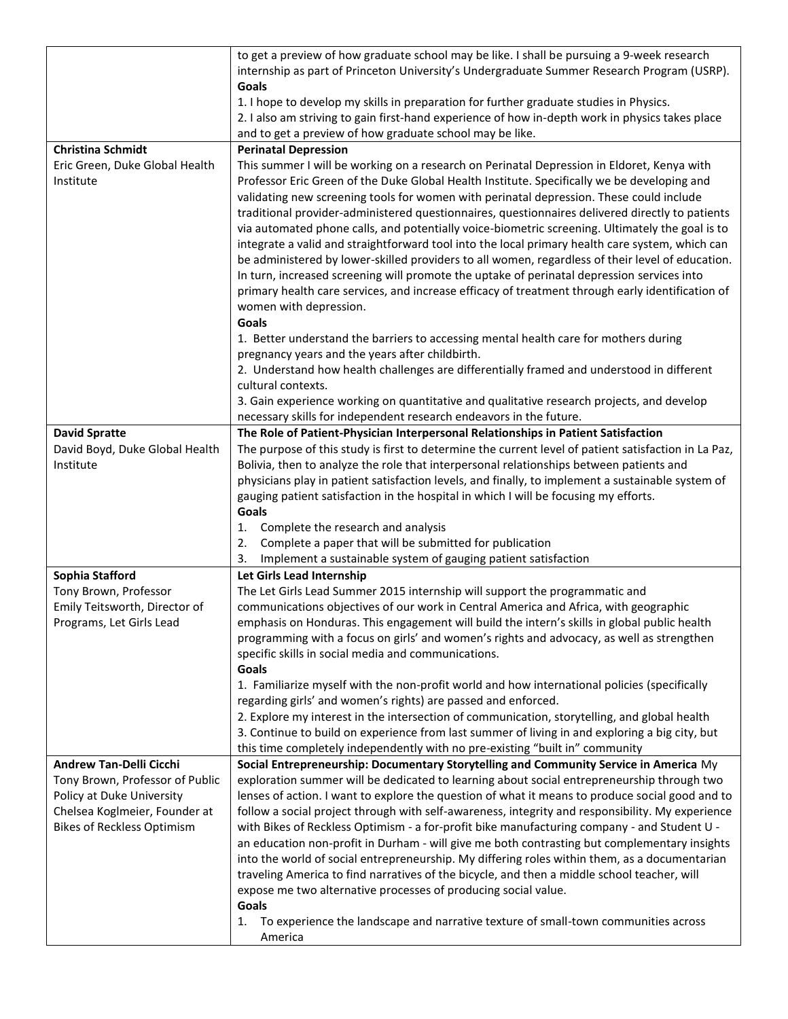|                                                                                                                                    | to get a preview of how graduate school may be like. I shall be pursuing a 9-week research<br>internship as part of Princeton University's Undergraduate Summer Research Program (USRP).<br>Goals<br>1. I hope to develop my skills in preparation for further graduate studies in Physics.<br>2. I also am striving to gain first-hand experience of how in-depth work in physics takes place<br>and to get a preview of how graduate school may be like.                                                                                                                                                                                                                                                                                                                                                                                                                                                                             |
|------------------------------------------------------------------------------------------------------------------------------------|----------------------------------------------------------------------------------------------------------------------------------------------------------------------------------------------------------------------------------------------------------------------------------------------------------------------------------------------------------------------------------------------------------------------------------------------------------------------------------------------------------------------------------------------------------------------------------------------------------------------------------------------------------------------------------------------------------------------------------------------------------------------------------------------------------------------------------------------------------------------------------------------------------------------------------------|
| <b>Christina Schmidt</b>                                                                                                           | <b>Perinatal Depression</b>                                                                                                                                                                                                                                                                                                                                                                                                                                                                                                                                                                                                                                                                                                                                                                                                                                                                                                            |
| Eric Green, Duke Global Health<br>Institute                                                                                        | This summer I will be working on a research on Perinatal Depression in Eldoret, Kenya with<br>Professor Eric Green of the Duke Global Health Institute. Specifically we be developing and<br>validating new screening tools for women with perinatal depression. These could include<br>traditional provider-administered questionnaires, questionnaires delivered directly to patients<br>via automated phone calls, and potentially voice-biometric screening. Ultimately the goal is to<br>integrate a valid and straightforward tool into the local primary health care system, which can<br>be administered by lower-skilled providers to all women, regardless of their level of education.<br>In turn, increased screening will promote the uptake of perinatal depression services into<br>primary health care services, and increase efficacy of treatment through early identification of<br>women with depression.<br>Goals |
|                                                                                                                                    | 1. Better understand the barriers to accessing mental health care for mothers during<br>pregnancy years and the years after childbirth.<br>2. Understand how health challenges are differentially framed and understood in different<br>cultural contexts.                                                                                                                                                                                                                                                                                                                                                                                                                                                                                                                                                                                                                                                                             |
|                                                                                                                                    | 3. Gain experience working on quantitative and qualitative research projects, and develop<br>necessary skills for independent research endeavors in the future.                                                                                                                                                                                                                                                                                                                                                                                                                                                                                                                                                                                                                                                                                                                                                                        |
| <b>David Spratte</b>                                                                                                               | The Role of Patient-Physician Interpersonal Relationships in Patient Satisfaction                                                                                                                                                                                                                                                                                                                                                                                                                                                                                                                                                                                                                                                                                                                                                                                                                                                      |
| David Boyd, Duke Global Health<br>Institute                                                                                        | The purpose of this study is first to determine the current level of patient satisfaction in La Paz,<br>Bolivia, then to analyze the role that interpersonal relationships between patients and<br>physicians play in patient satisfaction levels, and finally, to implement a sustainable system of<br>gauging patient satisfaction in the hospital in which I will be focusing my efforts.<br>Goals                                                                                                                                                                                                                                                                                                                                                                                                                                                                                                                                  |
|                                                                                                                                    | Complete the research and analysis<br>1.                                                                                                                                                                                                                                                                                                                                                                                                                                                                                                                                                                                                                                                                                                                                                                                                                                                                                               |
|                                                                                                                                    | Complete a paper that will be submitted for publication<br>2.                                                                                                                                                                                                                                                                                                                                                                                                                                                                                                                                                                                                                                                                                                                                                                                                                                                                          |
|                                                                                                                                    | Implement a sustainable system of gauging patient satisfaction<br>3.                                                                                                                                                                                                                                                                                                                                                                                                                                                                                                                                                                                                                                                                                                                                                                                                                                                                   |
| Sophia Stafford                                                                                                                    | Let Girls Lead Internship                                                                                                                                                                                                                                                                                                                                                                                                                                                                                                                                                                                                                                                                                                                                                                                                                                                                                                              |
| Tony Brown, Professor                                                                                                              | The Let Girls Lead Summer 2015 internship will support the programmatic and<br>communications objectives of our work in Central America and Africa, with geographic                                                                                                                                                                                                                                                                                                                                                                                                                                                                                                                                                                                                                                                                                                                                                                    |
| Emily Teitsworth, Director of<br>Programs, Let Girls Lead                                                                          | emphasis on Honduras. This engagement will build the intern's skills in global public health<br>programming with a focus on girls' and women's rights and advocacy, as well as strengthen<br>specific skills in social media and communications.                                                                                                                                                                                                                                                                                                                                                                                                                                                                                                                                                                                                                                                                                       |
|                                                                                                                                    | Goals<br>1. Familiarize myself with the non-profit world and how international policies (specifically<br>regarding girls' and women's rights) are passed and enforced.<br>2. Explore my interest in the intersection of communication, storytelling, and global health                                                                                                                                                                                                                                                                                                                                                                                                                                                                                                                                                                                                                                                                 |
|                                                                                                                                    | 3. Continue to build on experience from last summer of living in and exploring a big city, but<br>this time completely independently with no pre-existing "built in" community                                                                                                                                                                                                                                                                                                                                                                                                                                                                                                                                                                                                                                                                                                                                                         |
| <b>Andrew Tan-Delli Cicchi</b>                                                                                                     | Social Entrepreneurship: Documentary Storytelling and Community Service in America My                                                                                                                                                                                                                                                                                                                                                                                                                                                                                                                                                                                                                                                                                                                                                                                                                                                  |
| Tony Brown, Professor of Public<br>Policy at Duke University<br>Chelsea Koglmeier, Founder at<br><b>Bikes of Reckless Optimism</b> | exploration summer will be dedicated to learning about social entrepreneurship through two<br>lenses of action. I want to explore the question of what it means to produce social good and to<br>follow a social project through with self-awareness, integrity and responsibility. My experience<br>with Bikes of Reckless Optimism - a for-profit bike manufacturing company - and Student U -<br>an education non-profit in Durham - will give me both contrasting but complementary insights<br>into the world of social entrepreneurship. My differing roles within them, as a documentarian<br>traveling America to find narratives of the bicycle, and then a middle school teacher, will<br>expose me two alternative processes of producing social value.<br>Goals                                                                                                                                                            |
|                                                                                                                                    | To experience the landscape and narrative texture of small-town communities across<br>1.<br>America                                                                                                                                                                                                                                                                                                                                                                                                                                                                                                                                                                                                                                                                                                                                                                                                                                    |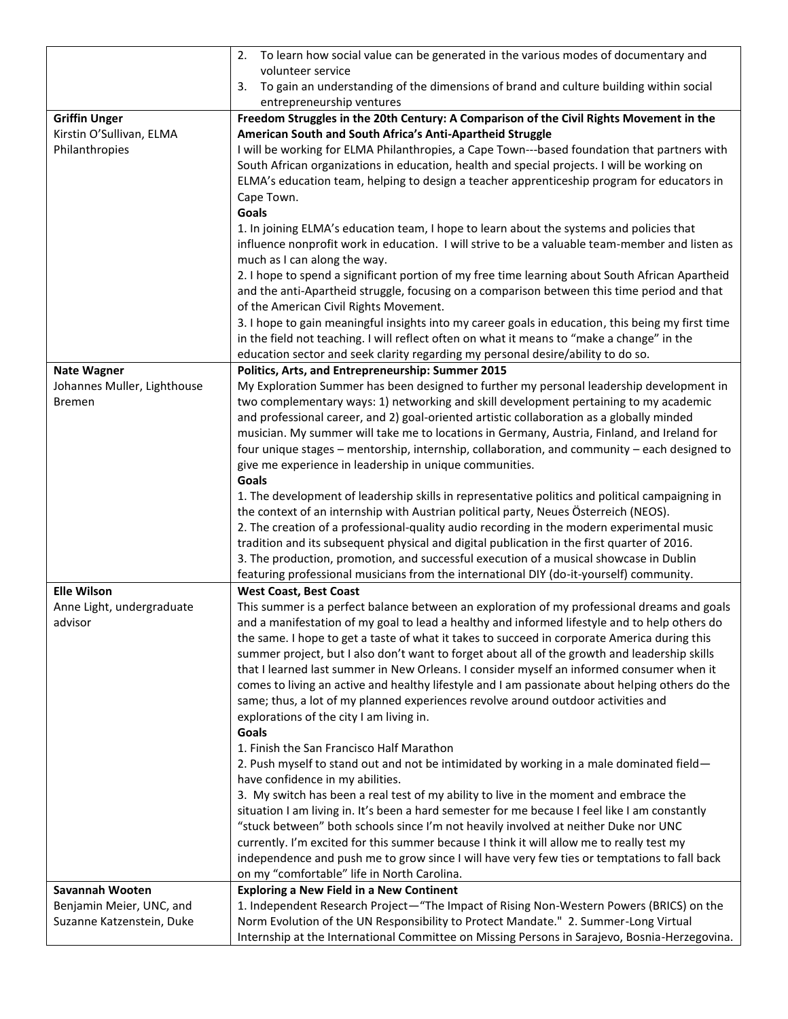|                             | To learn how social value can be generated in the various modes of documentary and<br>2.                                        |
|-----------------------------|---------------------------------------------------------------------------------------------------------------------------------|
|                             | volunteer service                                                                                                               |
|                             | To gain an understanding of the dimensions of brand and culture building within social<br>3.                                    |
|                             | entrepreneurship ventures                                                                                                       |
| <b>Griffin Unger</b>        | Freedom Struggles in the 20th Century: A Comparison of the Civil Rights Movement in the                                         |
| Kirstin O'Sullivan, ELMA    | American South and South Africa's Anti-Apartheid Struggle                                                                       |
| Philanthropies              | I will be working for ELMA Philanthropies, a Cape Town---based foundation that partners with                                    |
|                             | South African organizations in education, health and special projects. I will be working on                                     |
|                             | ELMA's education team, helping to design a teacher apprenticeship program for educators in                                      |
|                             | Cape Town.                                                                                                                      |
|                             | Goals                                                                                                                           |
|                             | 1. In joining ELMA's education team, I hope to learn about the systems and policies that                                        |
|                             | influence nonprofit work in education. I will strive to be a valuable team-member and listen as<br>much as I can along the way. |
|                             | 2. I hope to spend a significant portion of my free time learning about South African Apartheid                                 |
|                             | and the anti-Apartheid struggle, focusing on a comparison between this time period and that                                     |
|                             | of the American Civil Rights Movement.                                                                                          |
|                             | 3. I hope to gain meaningful insights into my career goals in education, this being my first time                               |
|                             | in the field not teaching. I will reflect often on what it means to "make a change" in the                                      |
|                             | education sector and seek clarity regarding my personal desire/ability to do so.                                                |
| <b>Nate Wagner</b>          | Politics, Arts, and Entrepreneurship: Summer 2015                                                                               |
| Johannes Muller, Lighthouse | My Exploration Summer has been designed to further my personal leadership development in                                        |
| <b>Bremen</b>               | two complementary ways: 1) networking and skill development pertaining to my academic                                           |
|                             | and professional career, and 2) goal-oriented artistic collaboration as a globally minded                                       |
|                             | musician. My summer will take me to locations in Germany, Austria, Finland, and Ireland for                                     |
|                             | four unique stages - mentorship, internship, collaboration, and community - each designed to                                    |
|                             | give me experience in leadership in unique communities.                                                                         |
|                             | Goals                                                                                                                           |
|                             | 1. The development of leadership skills in representative politics and political campaigning in                                 |
|                             | the context of an internship with Austrian political party, Neues Österreich (NEOS).                                            |
|                             | 2. The creation of a professional-quality audio recording in the modern experimental music                                      |
|                             | tradition and its subsequent physical and digital publication in the first quarter of 2016.                                     |
|                             | 3. The production, promotion, and successful execution of a musical showcase in Dublin                                          |
|                             | featuring professional musicians from the international DIY (do-it-yourself) community.                                         |
| <b>Elle Wilson</b>          | <b>West Coast, Best Coast</b>                                                                                                   |
| Anne Light, undergraduate   | This summer is a perfect balance between an exploration of my professional dreams and goals                                     |
| advisor                     | and a manifestation of my goal to lead a healthy and informed lifestyle and to help others do                                   |
|                             | the same. I hope to get a taste of what it takes to succeed in corporate America during this                                    |
|                             | summer project, but I also don't want to forget about all of the growth and leadership skills                                   |
|                             | that I learned last summer in New Orleans. I consider myself an informed consumer when it                                       |
|                             | comes to living an active and healthy lifestyle and I am passionate about helping others do the                                 |
|                             | same; thus, a lot of my planned experiences revolve around outdoor activities and                                               |
|                             | explorations of the city I am living in.                                                                                        |
|                             | Goals<br>1. Finish the San Francisco Half Marathon                                                                              |
|                             |                                                                                                                                 |
|                             | 2. Push myself to stand out and not be intimidated by working in a male dominated field-<br>have confidence in my abilities.    |
|                             | 3. My switch has been a real test of my ability to live in the moment and embrace the                                           |
|                             | situation I am living in. It's been a hard semester for me because I feel like I am constantly                                  |
|                             | "stuck between" both schools since I'm not heavily involved at neither Duke nor UNC                                             |
|                             | currently. I'm excited for this summer because I think it will allow me to really test my                                       |
|                             | independence and push me to grow since I will have very few ties or temptations to fall back                                    |
|                             | on my "comfortable" life in North Carolina.                                                                                     |
| Savannah Wooten             | <b>Exploring a New Field in a New Continent</b>                                                                                 |
| Benjamin Meier, UNC, and    | 1. Independent Research Project—"The Impact of Rising Non-Western Powers (BRICS) on the                                         |
| Suzanne Katzenstein, Duke   | Norm Evolution of the UN Responsibility to Protect Mandate." 2. Summer-Long Virtual                                             |
|                             | Internship at the International Committee on Missing Persons in Sarajevo, Bosnia-Herzegovina.                                   |